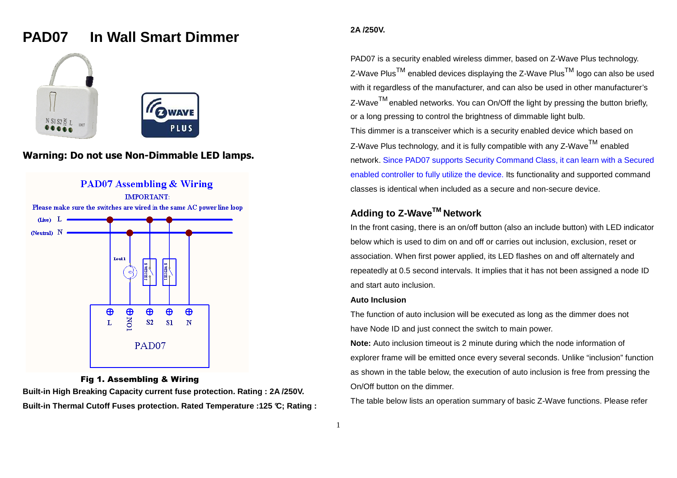# **PAD07 In Wall Smart Dimmer**





# **Warning: Do not use Non-Dimmable LED lamps.**



## Fig 1. Assembling & Wiring

 **Built-in High Breaking Capacity current fuse protection. Rating : 2A /250V. Built-in Thermal Cutoff Fuses protection. Rated Temperature :125 °C; Rating :** 

## **2A /250V.**

PAD07 is a security enabled wireless dimmer, based on Z-Wave Plus technology. Z-Wave Plus $^{\sf TM}$  enabled devices displaying the Z-Wave Plus $^{\sf TM}$  logo can also be used with it regardless of the manufacturer, and can also be used in other manufacturer's Z-Wave<sup>TM</sup> enabled networks. You can On/Off the light by pressing the button briefly, or a long pressing to control the brightness of dimmable light bulb. This dimmer is a transceiver which is a security enabled device which based on  $Z$ -Wave Plus technology, and it is fully compatible with any  $Z$ -Wave  $^{TM}$  enabled network. Since PAD07 supports Security Command Class, it can learn with a Secured enabled controller to fully utilize the device. Its functionality and supported command classes is identical when included as a secure and non-secure device.

# **Adding to Z-WaveTM Network**

In the front casing, there is an on/off button (also an include button) with LED indicator below which is used to dim on and off or carries out inclusion, exclusion, reset or association. When first power applied, its LED flashes on and off alternately and repeatedly at 0.5 second intervals. It implies that it has not been assigned a node ID and start auto inclusion.

#### **Auto Inclusion**

The function of auto inclusion will be executed as long as the dimmer does not have Node ID and just connect the switch to main power.

**Note:** Auto inclusion timeout is 2 minute during which the node information of explorer frame will be emitted once every several seconds. Unlike "inclusion" function as shown in the table below, the execution of auto inclusion is free from pressing the On/Off button on the dimmer.

The table below lists an operation summary of basic Z-Wave functions. Please refer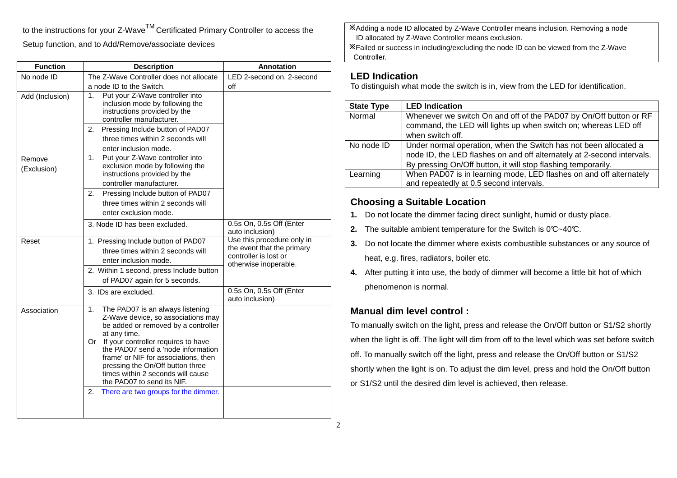to the instructions for your Z-Wave<sup>TM</sup> Certificated Primary Controller to access the Setup function, and to Add/Remove/associate devices

| <b>Function</b>       | <b>Description</b>                                                                                                                                                                                                                                                                                                                                                 | <b>Annotation</b>                                                                                          |
|-----------------------|--------------------------------------------------------------------------------------------------------------------------------------------------------------------------------------------------------------------------------------------------------------------------------------------------------------------------------------------------------------------|------------------------------------------------------------------------------------------------------------|
| No node ID            | The Z-Wave Controller does not allocate                                                                                                                                                                                                                                                                                                                            | LED 2-second on, 2-second                                                                                  |
|                       | a node ID to the Switch.                                                                                                                                                                                                                                                                                                                                           | off                                                                                                        |
| Add (Inclusion)       | Put your Z-Wave controller into<br>1.<br>inclusion mode by following the<br>instructions provided by the<br>controller manufacturer.                                                                                                                                                                                                                               |                                                                                                            |
|                       | Pressing Include button of PAD07<br>2.                                                                                                                                                                                                                                                                                                                             |                                                                                                            |
|                       | three times within 2 seconds will<br>enter inclusion mode.                                                                                                                                                                                                                                                                                                         |                                                                                                            |
| Remove<br>(Exclusion) | Put your Z-Wave controller into<br>1.<br>exclusion mode by following the<br>instructions provided by the<br>controller manufacturer.                                                                                                                                                                                                                               |                                                                                                            |
|                       | 2.<br>Pressing Include button of PAD07                                                                                                                                                                                                                                                                                                                             |                                                                                                            |
|                       | three times within 2 seconds will                                                                                                                                                                                                                                                                                                                                  |                                                                                                            |
|                       | enter exclusion mode.                                                                                                                                                                                                                                                                                                                                              |                                                                                                            |
|                       | 3. Node ID has been excluded.                                                                                                                                                                                                                                                                                                                                      | 0.5s On, 0.5s Off (Enter<br>auto inclusion)                                                                |
| Reset                 | 1. Pressing Include button of PAD07<br>three times within 2 seconds will<br>enter inclusion mode.<br>2. Within 1 second, press Include button<br>of PAD07 again for 5 seconds.                                                                                                                                                                                     | Use this procedure only in<br>the event that the primary<br>controller is lost or<br>otherwise inoperable. |
|                       | 3. IDs are excluded.                                                                                                                                                                                                                                                                                                                                               | 0.5s On, 0.5s Off (Enter<br>auto inclusion)                                                                |
| Association           | The PAD07 is an always listening<br>1.<br>Z-Wave device, so associations may<br>be added or removed by a controller<br>at any time.<br>Or If your controller requires to have<br>the PAD07 send a 'node information<br>frame' or NIF for associations, then<br>pressing the On/Off button three<br>times within 2 seconds will cause<br>the PAD07 to send its NIF. |                                                                                                            |
|                       | 2.<br>There are two groups for the dimmer.                                                                                                                                                                                                                                                                                                                         |                                                                                                            |

Adding a node ID allocated by Z-Wave Controller means inclusion. Removing a node ID allocated by Z-Wave Controller means exclusion.Failed or success in including/excluding the node ID can be viewed from the Z-Wave

Controller.

## **LED Indication**

To distinguish what mode the switch is in, view from the LED for identification.

| <b>State Type</b> | <b>LED Indication</b>                                                                                                                                                                                       |
|-------------------|-------------------------------------------------------------------------------------------------------------------------------------------------------------------------------------------------------------|
| Normal            | Whenever we switch On and off of the PAD07 by On/Off button or RF<br>command, the LED will lights up when switch on; whereas LED off<br>when switch off.                                                    |
| No node ID        | Under normal operation, when the Switch has not been allocated a<br>node ID, the LED flashes on and off alternately at 2-second intervals.<br>By pressing On/Off button, it will stop flashing temporarily. |
| Learning          | When PAD07 is in learning mode, LED flashes on and off alternately<br>and repeatedly at 0.5 second intervals.                                                                                               |

# **Choosing a Suitable Location**

- **1.** Do not locate the dimmer facing direct sunlight, humid or dusty place.
- **2.** The suitable ambient temperature for the Switch is  $0^\circ \text{C}$ -40°C.
- **3.** Do not locate the dimmer where exists combustible substances or any source of heat, e.g. fires, radiators, boiler etc.
- **4.** After putting it into use, the body of dimmer will become a little bit hot of which phenomenon is normal.

# **Manual dim level control :**

To manually switch on the light, press and release the On/Off button or S1/S2 shortly when the light is off. The light will dim from off to the level which was set before switch off. To manually switch off the light, press and release the On/Off button or S1/S2 shortly when the light is on. To adjust the dim level, press and hold the On/Off button or S1/S2 until the desired dim level is achieved, then release.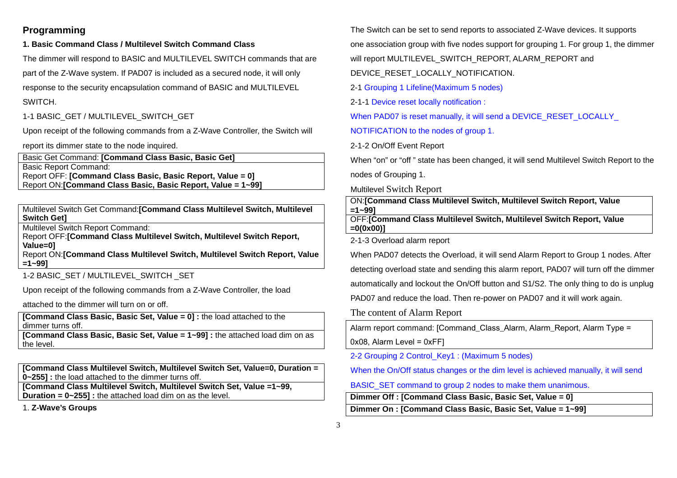# **Programming**

## **1. Basic Command Class / Multilevel Switch Command Class**

The dimmer will respond to BASIC and MULTILEVEL SWITCH commands that are

part of the Z-Wave system. If PAD07 is included as a secured node, it will only

response to the security encapsulation command of BASIC and MULTILEVEL

#### SWITCH.

1-1 BASIC\_GET / MULTILEVEL\_SWITCH\_GET

Upon receipt of the following commands from a Z-Wave Controller, the Switch will

report its dimmer state to the node inquired.

Basic Get Command: **[Command Class Basic, Basic Get]**Basic Report Command: Report OFF: **[Command Class Basic, Basic Report, Value = 0]**Report ON:**[Command Class Basic, Basic Report, Value = 1~99]**

Multilevel Switch Get Command:**[Command Class Multilevel Switch, Multilevel Switch Get]**

Multilevel Switch Report Command:

 Report OFF:**[Command Class Multilevel Switch, Multilevel Switch Report, Value=0]**Report ON:**[Command Class Multilevel Switch, Multilevel Switch Report, Value** 

**=1~99]**

1-2 BASIC\_SET / MULTILEVEL\_SWITCH\_SET

Upon receipt of the following commands from a Z-Wave Controller, the load

attached to the dimmer will turn on or off.

**[Command Class Basic, Basic Set, Value = 0] :** the load attached to the dimmer turns off.

 **[Command Class Basic, Basic Set, Value = 1~99] :** the attached load dim on as the level.

**[Command Class Multilevel Switch, Multilevel Switch Set, Value=0, Duration = 0~255] :** the load attached to the dimmer turns off.

 **[Command Class Multilevel Switch, Multilevel Switch Set, Value =1~99, Duration = 0~255] :** the attached load dim on as the level.

1. **Z-Wave's Groups** 

The Switch can be set to send reports to associated Z-Wave devices. It supports

one association group with five nodes support for grouping 1. For group 1, the dimmer

will report MULTILEVEL\_SWITCH\_REPORT, ALARM\_REPORT and

DEVICE\_RESET\_LOCALLY\_NOTIFICATION.

2-1 Grouping 1 Lifeline(Maximum 5 nodes)

2-1-1 Device reset locally notification :

When PAD07 is reset manually, it will send a DEVICE\_RESET\_LOCALLY

NOTIFICATION to the nodes of group 1.

2-1-2 On/Off Event Report

When "on" or "off " state has been changed, it will send Multilevel Switch Report to the nodes of Grouping 1.

Multilevel Switch Report

ON:**[Command Class Multilevel Switch, Multilevel Switch Report, Value=1~99]**

 OFF:**[Command Class Multilevel Switch, Multilevel Switch Report, Value =0(0x00)]**

2-1-3 Overload alarm report

When PAD07 detects the Overload, it will send Alarm Report to Group 1 nodes. After

detecting overload state and sending this alarm report, PAD07 will turn off the dimmer

automatically and lockout the On/Off button and S1/S2. The only thing to do is unplug

PAD07 and reduce the load. Then re-power on PAD07 and it will work again.

The content of Alarm Report

Alarm report command: [Command\_Class\_Alarm, Alarm\_Report, Alarm Type =

0x08, Alarm Level = 0xFF]

2-2 Grouping 2 Control\_Key1 : (Maximum 5 nodes)

When the On/Off status changes or the dim level is achieved manually, it will send

BASIC\_SET command to group 2 nodes to make them unanimous.

**Dimmer Off : [Command Class Basic, Basic Set, Value = 0]**

**Dimmer On : [Command Class Basic, Basic Set, Value = 1~99]**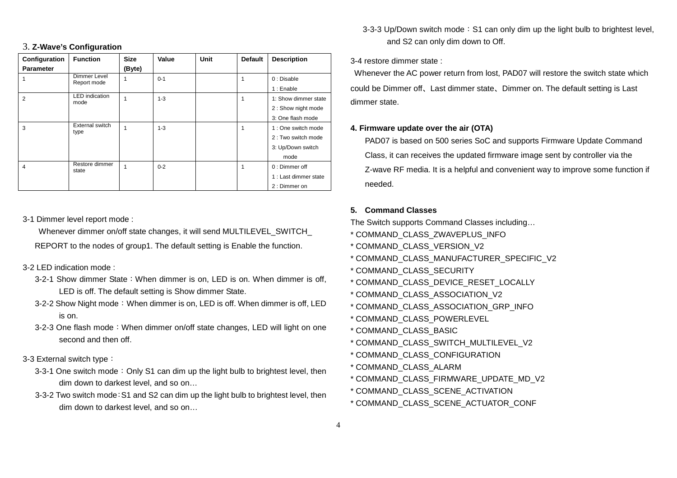#### 3. **Z-Wave's Configuration**

| Configuration    | <b>Function</b>                | <b>Size</b> | Value   | Unit | <b>Default</b> | <b>Description</b>    |
|------------------|--------------------------------|-------------|---------|------|----------------|-----------------------|
| <b>Parameter</b> |                                | (Byte)      |         |      |                |                       |
|                  | Dimmer Level<br>Report mode    |             | $0 - 1$ |      |                | 0: Disable            |
|                  |                                |             |         |      |                | 1 : Enable            |
| 2                | <b>LED</b> indication<br>mode  |             | $1 - 3$ |      |                | 1: Show dimmer state  |
|                  |                                |             |         |      |                | 2: Show night mode    |
|                  |                                |             |         |      |                | 3: One flash mode     |
| 3                | <b>External switch</b><br>type |             | $1 - 3$ |      |                | 1 : One switch mode   |
|                  |                                |             |         |      |                | 2 : Two switch mode   |
|                  |                                |             |         |      |                | 3: Up/Down switch     |
|                  |                                |             |         |      |                | mode                  |
| $\overline{4}$   | Restore dimmer<br>state        |             | $0 - 2$ |      |                | 0 : Dimmer off        |
|                  |                                |             |         |      |                | 1 : Last dimmer state |
|                  |                                |             |         |      |                | 2: Dimmer on          |

3-1 Dimmer level report mode :

 Whenever dimmer on/off state changes, it will send MULTILEVEL\_SWITCH\_ REPORT to the nodes of group1. The default setting is Enable the function.

#### 3-2 LED indication mode :

- 3-2-1 Show dimmer State:When dimmer is on, LED is on. When dimmer is off, LED is off. The default setting is Show dimmer State.
- 3-2-2 Show Night mode:When dimmer is on, LED is off. When dimmer is off, LED is on.
- 3-2-3 One flash mode:When dimmer on/off state changes, LED will light on one second and then off.
- 3-3 External switch type:
	- 3-3-1 One switch mode: Only S1 can dim up the light bulb to brightest level, then dim down to darkest level, and so on…
	- 3-3-2 Two switch mode:S1 and S2 can dim up the light bulb to brightest level, then dim down to darkest level, and so on…

3-3-3 Up/Down switch mode: S1 can only dim up the light bulb to brightest level, and S2 can only dim down to Off.

## 3-4 restore dimmer state :

 Whenever the AC power return from lost, PAD07 will restore the switch state which could be Dimmer off、Last dimmer state、Dimmer on. The default setting is Last dimmer state.

#### **4. Firmware update over the air (OTA)**

PAD07 is based on 500 series SoC and supports Firmware Update Command Class, it can receives the updated firmware image sent by controller via the Z-wave RF media. It is a helpful and convenient way to improve some function if needed.

#### **5. Command Classes**

The Switch supports Command Classes including…

- \* COMMAND\_CLASS\_ZWAVEPLUS\_INFO
- \* COMMAND\_CLASS\_VERSION\_V2
- \* COMMAND\_CLASS\_MANUFACTURER\_SPECIFIC\_V2
- \* COMMAND\_CLASS\_SECURITY
- \* COMMAND\_CLASS\_DEVICE\_RESET\_LOCALLY
- \* COMMAND\_CLASS\_ASSOCIATION\_V2
- \* COMMAND\_CLASS\_ASSOCIATION\_GRP\_INFO
- \* COMMAND\_CLASS\_POWERLEVEL
- \* COMMAND\_CLASS\_BASIC
- \* COMMAND\_CLASS\_SWITCH\_MULTILEVEL\_V2
- \* COMMAND\_CLASS\_CONFIGURATION
- \* COMMAND\_CLASS\_ALARM
- \* COMMAND\_CLASS\_FIRMWARE\_UPDATE\_MD\_V2
- \* COMMAND\_CLASS\_SCENE\_ACTIVATION
- \* COMMAND\_CLASS\_SCENE\_ACTUATOR\_CONF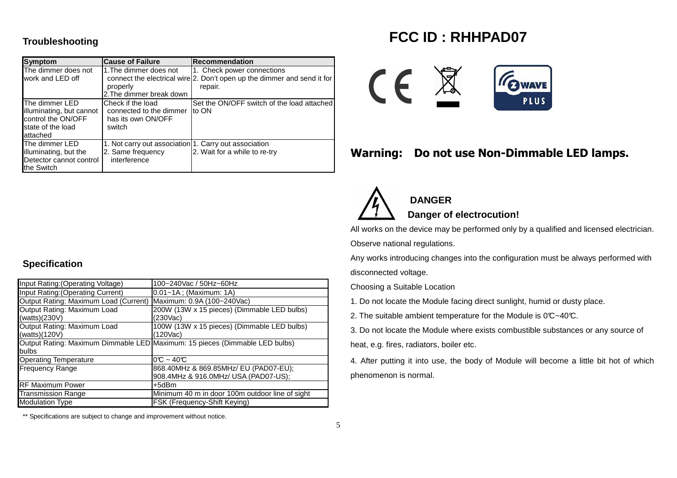## **Troubleshooting**

| <b>Symptom</b>                                                                                    | <b>Cause of Failure</b>                                                                    | <b>Recommendation</b>                                                                                            |
|---------------------------------------------------------------------------------------------------|--------------------------------------------------------------------------------------------|------------------------------------------------------------------------------------------------------------------|
| The dimmer does not<br>work and LED off                                                           | 1. The dimmer does not<br>properly<br>2. The dimmer break down                             | 1. Check power connections<br>connect the electrical wire 2. Don't open up the dimmer and send it for<br>repair. |
| The dimmer LED<br>illuminating, but cannot<br>control the ON/OFF<br>state of the load<br>attached | Check if the load<br>connected to the dimmer<br>has its own ON/OFF<br>switch               | Set the ON/OFF switch of the load attached<br>to ON                                                              |
| The dimmer LED<br>illuminating, but the<br>Detector cannot control<br>the Switch                  | 1. Not carry out association 1. Carry out association<br>2. Same frequency<br>interference | 2. Wait for a while to re-try                                                                                    |

# **FCC ID : RHHPAD07**



# **Warning: Do not use Non-Dimmable LED lamps.**



# **DANGERDanger of electrocution!**

All works on the device may be performed only by a qualified and licensed electrician.

Observe national regulations.

Any works introducing changes into the configuration must be always performed with disconnected voltage.

Choosing a Suitable Location

1. Do not locate the Module facing direct sunlight, humid or dusty place.

2. The suitable ambient temperature for the Module is  $0^\circ\text{C}-40^\circ\text{C}$ .

3. Do not locate the Module where exists combustible substances or any source of heat, e.g. fires, radiators, boiler etc.

4. After putting it into use, the body of Module will become a little bit hot of which phenomenon is normal.

## **Specification**

| Input Rating: (Operating Voltage)     | 100~240Vac / 50Hz~60Hz                                                      |  |  |
|---------------------------------------|-----------------------------------------------------------------------------|--|--|
| Input Rating: (Operating Current)     | $0.01 - 1A$ ; (Maximum: 1A)                                                 |  |  |
| Output Rating: Maximum Load (Current) | Maximum: 0.9A (100~240Vac)                                                  |  |  |
| Output Rating: Maximum Load           | 200W (13W x 15 pieces) (Dimmable LED bulbs)                                 |  |  |
| (watts)(230V)                         | (230Vac)                                                                    |  |  |
| Output Rating: Maximum Load           | 100W (13W x 15 pieces) (Dimmable LED bulbs)                                 |  |  |
| (watts) $(120V)$                      | (120Vac)                                                                    |  |  |
|                                       | Output Rating: Maximum Dimmable LED Maximum: 15 pieces (Dimmable LED bulbs) |  |  |
| bulbs                                 |                                                                             |  |  |
| <b>Operating Temperature</b>          | $0^\circ$ ~ 40 $^\circ$                                                     |  |  |
| <b>Frequency Range</b>                | 868.40MHz & 869.85MHz/ EU (PAD07-EU);                                       |  |  |
|                                       | 908.4MHz & 916.0MHz/ USA (PAD07-US);                                        |  |  |
| <b>RF Maximum Power</b>               | +5dBm                                                                       |  |  |
| <b>Transmission Range</b>             | Minimum 40 m in door 100m outdoor line of sight                             |  |  |
| <b>Modulation Type</b>                | FSK (Frequency-Shift Keying)                                                |  |  |

\*\* Specifications are subject to change and improvement without notice.